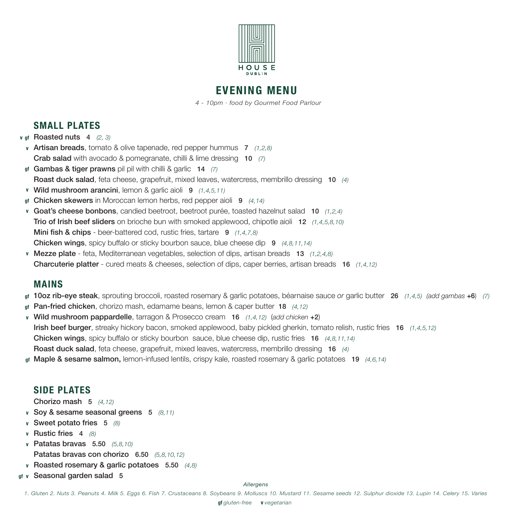

# **EVENING MENU**

 *4 - 10pm · food by Gourmet Food Parlour*

## **SMALL PLATES**

- *v* gf Roasted nuts 4 (2, 3)
- **v** Artisan breads, tomato & olive tapenade, red pepper hummus 7 *(1,2,8)*  Crab salad with avocado & pomegranate, chilli & lime dressing 10 *(7)*
- Gambas & tiger prawns pil pil with chilli & garlic 14 *(7)* **gf** Roast duck salad, feta cheese, grapefruit, mixed leaves, watercress, membrillo dressing 10 *(4)*
- **v** Wild mushroom arancini, lemon & garlic aioli 9 *(1,4,5,11)*
- Chicken skewers in Moroccan lemon herbs, red pepper aioli 9 *(4,14)* **gf**
- **v** Goat's cheese bonbons, candied beetroot, beetroot purée, toasted hazelnut salad 10 *(1,2,4)* Trio of Irish beef sliders on brioche bun with smoked applewood, chipotle aioli 12 *(1,4,5,8,10)* **Mini fish & chips** - beer-battered cod, rustic fries, tartare 9 (1,4,7,8) Chicken wings, spicy buffalo or sticky bourbon sauce, blue cheese dip 9 *(4,8,11,14)*
- **v** Mezze plate feta, Mediterranean vegetables, selection of dips, artisan breads 13 *(1,2,4,8)* Charcuterie platter - cured meats & cheeses, selection of dips, caper berries, artisan breads 16 *(1,4,12)*

## **MAINS**

- 10oz rib-eye steak, sprouting broccoli, roasted rosemary & garlic potatoes, béarnaise sauce *or* garlic butter 26 *(1,4,5) (add gambas* +6) *(7)* **gf**
- Pan-fried chicken, chorizo mash, edamame beans, lemon & caper butter 18 *(4,12)* **gf**
- **v** Wild mushroom pappardelle, tarragon & Prosecco cream 16 *(1,4,12)* (*add chicken* +2) Irish beef burger, streaky hickory bacon, smoked applewood, baby pickled gherkin, tomato relish, rustic fries 16 *(1,4,5,12)* Chicken wings, spicy buffalo or sticky bourbon sauce, blue cheese dip, rustic fries 16 *(4,8,11,14)* Roast duck salad, feta cheese, grapefruit, mixed leaves, watercress, membrillo dressing 16 *(4)*
- Maple & sesame salmon, lemon-infused lentils, crispy kale, roasted rosemary & garlic potatoes 19 *(4,6,14)* **gf**

## **SIDE PLATES**

Chorizo mash 5 *(4,12)*

- **v** Soy & sesame seasonal greens 5 *(8,11)*
- **v** Sweet potato fries 5 *(8)*
- **v** Rustic fries 4 *(8)*
- **v** Patatas bravas 5.50 *(5,8,10)* Patatas bravas con chorizo 6.50 *(5,8,10,12)*
- **v** Roasted rosemary & garlic potatoes 5.50 *(4,8)*
- **v** Seasonal garden salad 5 **gf**

### *Allergens*